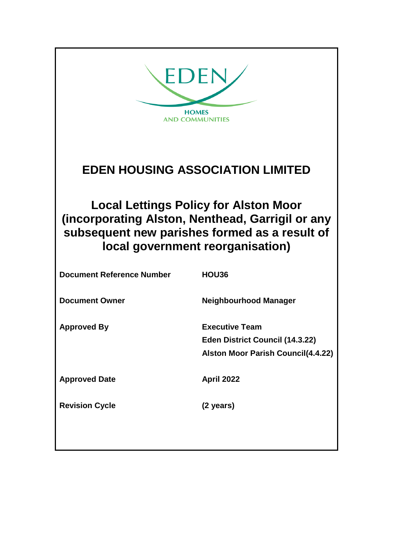| EDEN<br><b>HOMES</b><br><b>AND COMMUNITIES</b>                                                                                                                                        |                                                                                                              |  |
|---------------------------------------------------------------------------------------------------------------------------------------------------------------------------------------|--------------------------------------------------------------------------------------------------------------|--|
| <b>EDEN HOUSING ASSOCIATION LIMITED</b>                                                                                                                                               |                                                                                                              |  |
| <b>Local Lettings Policy for Alston Moor</b><br>(incorporating Alston, Nenthead, Garrigil or any<br>subsequent new parishes formed as a result of<br>local government reorganisation) |                                                                                                              |  |
| <b>Document Reference Number</b>                                                                                                                                                      | HOU36                                                                                                        |  |
| <b>Document Owner</b>                                                                                                                                                                 | <b>Neighbourhood Manager</b>                                                                                 |  |
| <b>Approved By</b>                                                                                                                                                                    | <b>Executive Team</b><br><b>Eden District Council (14.3.22)</b><br><b>Alston Moor Parish Council(4.4.22)</b> |  |
| <b>Approved Date</b>                                                                                                                                                                  | <b>April 2022</b>                                                                                            |  |
| <b>Revision Cycle</b>                                                                                                                                                                 | (2 years)                                                                                                    |  |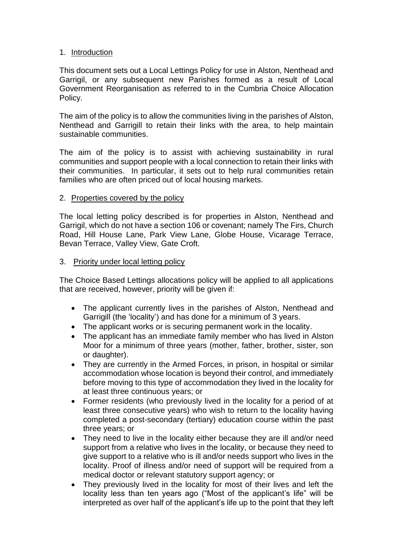#### 1. Introduction

This document sets out a Local Lettings Policy for use in Alston, Nenthead and Garrigil, or any subsequent new Parishes formed as a result of Local Government Reorganisation as referred to in the Cumbria Choice Allocation Policy.

The aim of the policy is to allow the communities living in the parishes of Alston, Nenthead and Garrigill to retain their links with the area, to help maintain sustainable communities.

The aim of the policy is to assist with achieving sustainability in rural communities and support people with a local connection to retain their links with their communities. In particular, it sets out to help rural communities retain families who are often priced out of local housing markets.

#### 2. Properties covered by the policy

The local letting policy described is for properties in Alston, Nenthead and Garrigil, which do not have a section 106 or covenant; namely The Firs, Church Road, Hill House Lane, Park View Lane, Globe House, Vicarage Terrace, Bevan Terrace, Valley View, Gate Croft.

#### 3. Priority under local letting policy

The Choice Based Lettings allocations policy will be applied to all applications that are received, however, priority will be given if:

- The applicant currently lives in the parishes of Alston, Nenthead and Garrigill (the 'locality') and has done for a minimum of 3 years.
- The applicant works or is securing permanent work in the locality.
- The applicant has an immediate family member who has lived in Alston Moor for a minimum of three years (mother, father, brother, sister, son or daughter).
- They are currently in the Armed Forces, in prison, in hospital or similar accommodation whose location is beyond their control, and immediately before moving to this type of accommodation they lived in the locality for at least three continuous years; or
- Former residents (who previously lived in the locality for a period of at least three consecutive years) who wish to return to the locality having completed a post-secondary (tertiary) education course within the past three years; or
- They need to live in the locality either because they are ill and/or need support from a relative who lives in the locality, or because they need to give support to a relative who is ill and/or needs support who lives in the locality. Proof of illness and/or need of support will be required from a medical doctor or relevant statutory support agency; or
- They previously lived in the locality for most of their lives and left the locality less than ten years ago ("Most of the applicant's life" will be interpreted as over half of the applicant's life up to the point that they left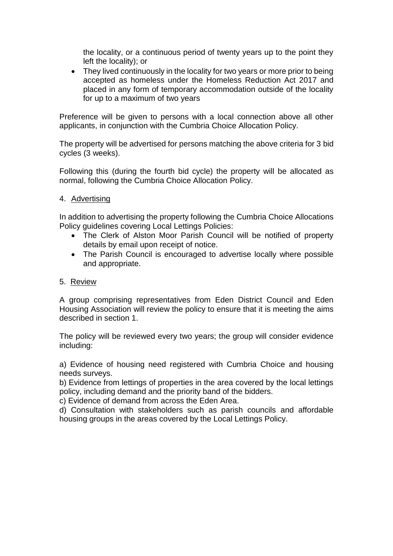the locality, or a continuous period of twenty years up to the point they left the locality); or

• They lived continuously in the locality for two years or more prior to being accepted as homeless under the Homeless Reduction Act 2017 and placed in any form of temporary accommodation outside of the locality for up to a maximum of two years

Preference will be given to persons with a local connection above all other applicants, in conjunction with the Cumbria Choice Allocation Policy.

The property will be advertised for persons matching the above criteria for 3 bid cycles (3 weeks).

Following this (during the fourth bid cycle) the property will be allocated as normal, following the Cumbria Choice Allocation Policy.

#### 4. Advertising

In addition to advertising the property following the Cumbria Choice Allocations Policy guidelines covering Local Lettings Policies:

- The Clerk of Alston Moor Parish Council will be notified of property details by email upon receipt of notice.
- The Parish Council is encouraged to advertise locally where possible and appropriate.

#### 5. Review

A group comprising representatives from Eden District Council and Eden Housing Association will review the policy to ensure that it is meeting the aims described in section 1.

The policy will be reviewed every two years; the group will consider evidence including:

a) Evidence of housing need registered with Cumbria Choice and housing needs surveys.

b) Evidence from lettings of properties in the area covered by the local lettings policy, including demand and the priority band of the bidders.

c) Evidence of demand from across the Eden Area.

d) Consultation with stakeholders such as parish councils and affordable housing groups in the areas covered by the Local Lettings Policy.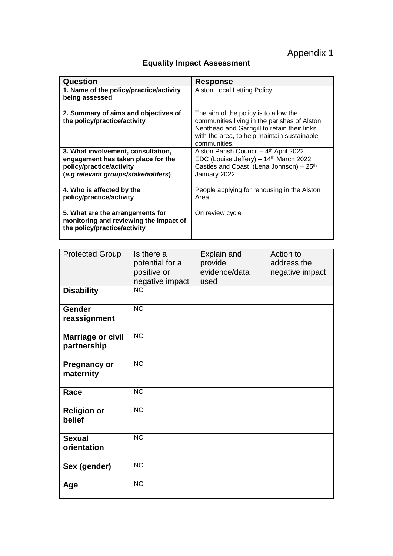# Appendix 1

## **Equality Impact Assessment**

| Question                                                                                                                                   | <b>Response</b>                                                                                                                                                                                       |
|--------------------------------------------------------------------------------------------------------------------------------------------|-------------------------------------------------------------------------------------------------------------------------------------------------------------------------------------------------------|
| 1. Name of the policy/practice/activity<br>being assessed                                                                                  | <b>Alston Local Letting Policy</b>                                                                                                                                                                    |
| 2. Summary of aims and objectives of<br>the policy/practice/activity                                                                       | The aim of the policy is to allow the<br>communities living in the parishes of Alston,<br>Nenthead and Garrigill to retain their links<br>with the area, to help maintain sustainable<br>communities. |
| 3. What involvement, consultation,<br>engagement has taken place for the<br>policy/practice/activity<br>(e.g relevant groups/stakeholders) | Alston Parish Council - 4th April 2022<br>EDC (Louise Jeffery) - 14th March 2022<br>Castles and Coast (Lena Johnson) - 25 <sup>th</sup><br>January 2022                                               |
| 4. Who is affected by the<br>policy/practice/activity                                                                                      | People applying for rehousing in the Alston<br>Area                                                                                                                                                   |
| 5. What are the arrangements for<br>monitoring and reviewing the impact of<br>the policy/practice/activity                                 | On review cycle                                                                                                                                                                                       |

| <b>Protected Group</b>                  | Is there a<br>potential for a<br>positive or<br>negative impact | Explain and<br>provide<br>evidence/data<br>used | Action to<br>address the<br>negative impact |
|-----------------------------------------|-----------------------------------------------------------------|-------------------------------------------------|---------------------------------------------|
| <b>Disability</b>                       | $\overline{NO}$                                                 |                                                 |                                             |
| <b>Gender</b><br>reassignment           | <b>NO</b>                                                       |                                                 |                                             |
| <b>Marriage or civil</b><br>partnership | <b>NO</b>                                                       |                                                 |                                             |
| <b>Pregnancy or</b><br>maternity        | <b>NO</b>                                                       |                                                 |                                             |
| Race                                    | <b>NO</b>                                                       |                                                 |                                             |
| <b>Religion or</b><br>belief            | <b>NO</b>                                                       |                                                 |                                             |
| <b>Sexual</b><br>orientation            | <b>NO</b>                                                       |                                                 |                                             |
| Sex (gender)                            | <b>NO</b>                                                       |                                                 |                                             |
| Age                                     | <b>NO</b>                                                       |                                                 |                                             |